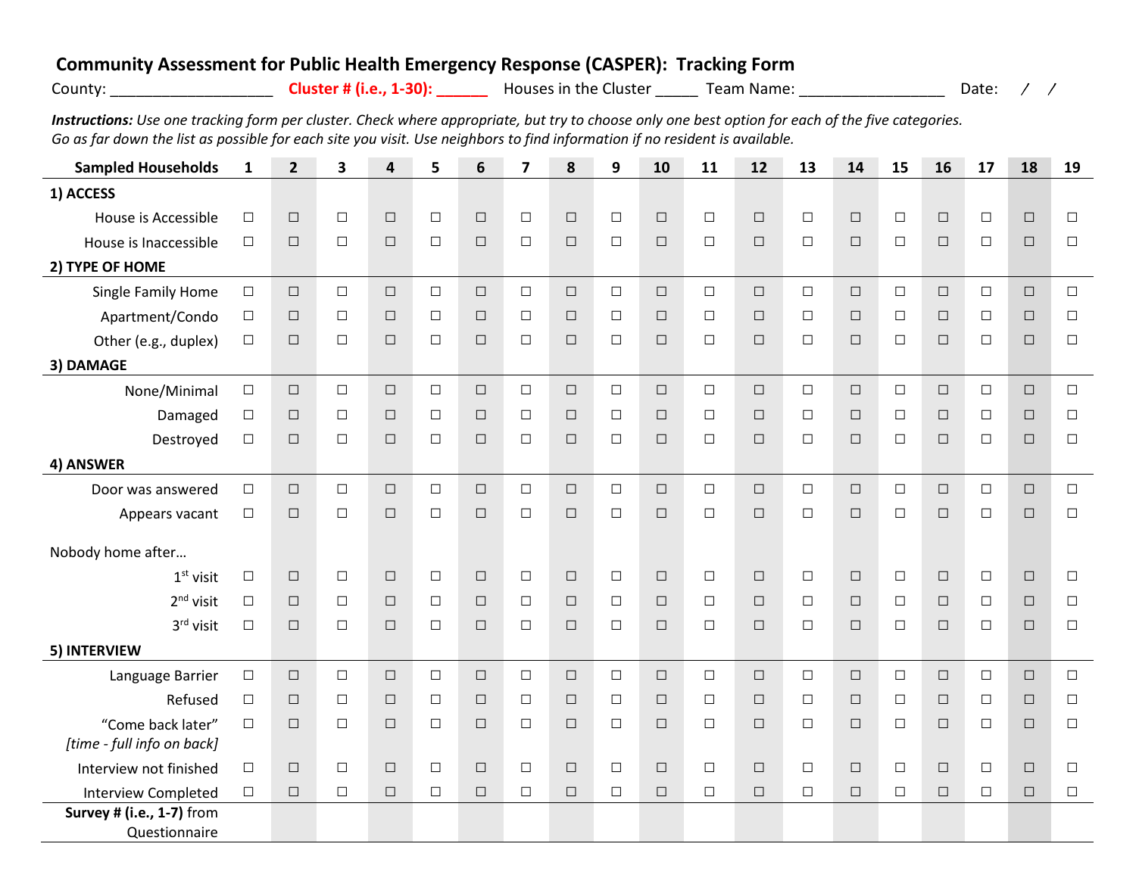## **Community Assessment for Public Health Emergency Response (CASPER): Tracking Form**

| county |  |  |
|--------|--|--|
|        |  |  |
|        |  |  |

**Cluster # (i.e., 1-30):** Nouses in the Cluster \_\_\_\_\_\_\_ Team Name: \_\_\_\_\_\_\_\_\_\_\_\_\_\_\_\_\_\_\_\_\_\_\_ Date: / /

*Instructions: Use one tracking form per cluster. Check where appropriate, but try to choose only one best option for each of the five categories. Go as far down the list as possible for each site you visit. Use neighbors to find information if no resident is available.*

| <b>Sampled Households</b>  | $\mathbf{1}$ | $\overline{2}$ | $\overline{\mathbf{3}}$ | 4      | 5      | 6      | $\overline{\mathbf{z}}$ | 8      | 9      | 10     | 11     | 12     | 13     | 14     | 15     | 16     | 17     | 18     | 19     |
|----------------------------|--------------|----------------|-------------------------|--------|--------|--------|-------------------------|--------|--------|--------|--------|--------|--------|--------|--------|--------|--------|--------|--------|
| 1) ACCESS                  |              |                |                         |        |        |        |                         |        |        |        |        |        |        |        |        |        |        |        |        |
| House is Accessible        | $\Box$       | $\Box$         | $\Box$                  | $\Box$ | $\Box$ | $\Box$ | $\Box$                  | $\Box$ | $\Box$ | $\Box$ | $\Box$ | $\Box$ | $\Box$ | $\Box$ | $\Box$ | $\Box$ | $\Box$ | $\Box$ | $\Box$ |
| House is Inaccessible      | $\Box$       | $\Box$         | $\Box$                  | $\Box$ | $\Box$ | $\Box$ | $\Box$                  | $\Box$ | $\Box$ | $\Box$ | $\Box$ | $\Box$ | $\Box$ | $\Box$ | $\Box$ | $\Box$ | $\Box$ | $\Box$ | $\Box$ |
| 2) TYPE OF HOME            |              |                |                         |        |        |        |                         |        |        |        |        |        |        |        |        |        |        |        |        |
| Single Family Home         | $\Box$       | $\Box$         | $\Box$                  | $\Box$ | $\Box$ | $\Box$ | $\Box$                  | $\Box$ | $\Box$ | $\Box$ | $\Box$ | $\Box$ | $\Box$ | $\Box$ | $\Box$ | $\Box$ | $\Box$ | $\Box$ | $\Box$ |
| Apartment/Condo            | $\Box$       | $\Box$         | $\Box$                  | $\Box$ | $\Box$ | $\Box$ | $\Box$                  | $\Box$ | $\Box$ | $\Box$ | $\Box$ | $\Box$ | $\Box$ | $\Box$ | $\Box$ | $\Box$ | $\Box$ | $\Box$ | $\Box$ |
| Other (e.g., duplex)       | $\Box$       | $\Box$         | $\Box$                  | $\Box$ | $\Box$ | $\Box$ | $\Box$                  | $\Box$ | $\Box$ | $\Box$ | $\Box$ | $\Box$ | $\Box$ | $\Box$ | $\Box$ | $\Box$ | $\Box$ | $\Box$ | $\Box$ |
| 3) DAMAGE                  |              |                |                         |        |        |        |                         |        |        |        |        |        |        |        |        |        |        |        |        |
| None/Minimal               | $\Box$       | $\Box$         | $\Box$                  | $\Box$ | $\Box$ | $\Box$ | $\Box$                  | $\Box$ | $\Box$ | $\Box$ | $\Box$ | $\Box$ | $\Box$ | $\Box$ | $\Box$ | $\Box$ | $\Box$ | $\Box$ | $\Box$ |
| Damaged                    | $\Box$       | $\Box$         | $\Box$                  | $\Box$ | $\Box$ | $\Box$ | $\Box$                  | $\Box$ | $\Box$ | $\Box$ | $\Box$ | $\Box$ | $\Box$ | $\Box$ | $\Box$ | $\Box$ | $\Box$ | $\Box$ | $\Box$ |
| Destroyed                  | $\Box$       | $\Box$         | $\Box$                  | $\Box$ | $\Box$ | $\Box$ | $\Box$                  | $\Box$ | $\Box$ | $\Box$ | $\Box$ | $\Box$ | $\Box$ | $\Box$ | $\Box$ | $\Box$ | $\Box$ | $\Box$ | $\Box$ |
| 4) ANSWER                  |              |                |                         |        |        |        |                         |        |        |        |        |        |        |        |        |        |        |        |        |
| Door was answered          | $\Box$       | $\Box$         | $\Box$                  | $\Box$ | $\Box$ | $\Box$ | $\Box$                  | $\Box$ | $\Box$ | $\Box$ | $\Box$ | $\Box$ | $\Box$ | $\Box$ | $\Box$ | $\Box$ | $\Box$ | $\Box$ | $\Box$ |
| Appears vacant             | $\Box$       | $\Box$         | $\Box$                  | $\Box$ | $\Box$ | $\Box$ | $\Box$                  | $\Box$ | $\Box$ | $\Box$ | $\Box$ | $\Box$ | $\Box$ | $\Box$ | $\Box$ | $\Box$ | $\Box$ | $\Box$ | $\Box$ |
| Nobody home after          |              |                |                         |        |        |        |                         |        |        |        |        |        |        |        |        |        |        |        |        |
| $1st$ visit                | $\Box$       | $\Box$         | $\Box$                  | $\Box$ | $\Box$ | $\Box$ | $\Box$                  | $\Box$ | $\Box$ | $\Box$ | $\Box$ | $\Box$ | $\Box$ | $\Box$ | $\Box$ | $\Box$ | $\Box$ | $\Box$ | $\Box$ |
| $2nd$ visit                | $\Box$       | $\Box$         | $\Box$                  | $\Box$ | $\Box$ | $\Box$ | $\Box$                  | $\Box$ | $\Box$ | $\Box$ | $\Box$ | $\Box$ | $\Box$ | $\Box$ | $\Box$ | $\Box$ | $\Box$ | $\Box$ | $\Box$ |
| 3rd visit                  | $\Box$       | $\Box$         | $\Box$                  | $\Box$ | $\Box$ | $\Box$ | $\Box$                  | $\Box$ | $\Box$ | $\Box$ | $\Box$ | $\Box$ | $\Box$ | $\Box$ | $\Box$ | $\Box$ | $\Box$ | $\Box$ | $\Box$ |
| 5) INTERVIEW               |              |                |                         |        |        |        |                         |        |        |        |        |        |        |        |        |        |        |        |        |
| Language Barrier           | $\Box$       | $\Box$         | $\Box$                  | $\Box$ | $\Box$ | $\Box$ | $\Box$                  | $\Box$ | $\Box$ | $\Box$ | $\Box$ | $\Box$ | $\Box$ | $\Box$ | $\Box$ | $\Box$ | $\Box$ | $\Box$ | $\Box$ |
| Refused                    | $\Box$       | $\Box$         | $\Box$                  | $\Box$ | $\Box$ | $\Box$ | $\Box$                  | $\Box$ | $\Box$ | $\Box$ | $\Box$ | $\Box$ | $\Box$ | $\Box$ | $\Box$ | $\Box$ | $\Box$ | $\Box$ | $\Box$ |
| "Come back later"          | $\Box$       | $\Box$         | $\Box$                  | $\Box$ | $\Box$ | $\Box$ | $\Box$                  | $\Box$ | $\Box$ | $\Box$ | $\Box$ | $\Box$ | $\Box$ | $\Box$ | $\Box$ | $\Box$ | $\Box$ | $\Box$ | $\Box$ |
| [time - full info on back] |              |                |                         |        |        |        |                         |        |        |        |        |        |        |        |        |        |        |        |        |
| Interview not finished     | $\Box$       | $\Box$         | $\Box$                  | $\Box$ | $\Box$ | $\Box$ | $\Box$                  | $\Box$ | $\Box$ | $\Box$ | $\Box$ | $\Box$ | $\Box$ | $\Box$ | $\Box$ | $\Box$ | $\Box$ | $\Box$ | $\Box$ |
| <b>Interview Completed</b> | $\Box$       | $\Box$         | $\Box$                  | $\Box$ | $\Box$ | $\Box$ | $\Box$                  | $\Box$ | $\Box$ | $\Box$ | $\Box$ | $\Box$ | $\Box$ | $\Box$ | $\Box$ | $\Box$ | $\Box$ | $\Box$ | $\Box$ |
| Survey # (i.e., 1-7) from  |              |                |                         |        |        |        |                         |        |        |        |        |        |        |        |        |        |        |        |        |
| Questionnaire              |              |                |                         |        |        |        |                         |        |        |        |        |        |        |        |        |        |        |        |        |